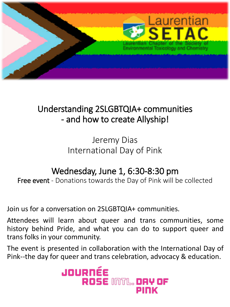

## Understanding 2SLGBTQIA+ communities - and how to create Allyship!

Jeremy Dias International Day of Pink

## Wednesday, June 1, 6:30-8:30 pm

Free event - Donations towards the Day of Pink will be collected

Join us for a conversation on 2SLGBTQIA+ communities.

Attendees will learn about queer and trans communities, some history behind Pride, and what you can do to support queer and trans folks in your community.

The event is presented in collaboration with the International Day of Pink--the day for queer and trans celebration, advocacy & education.